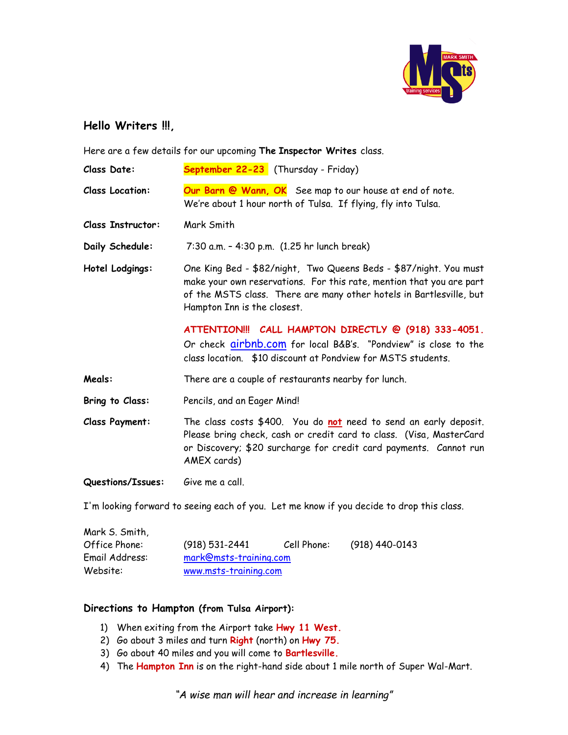

## **Hello Writers !!!,**

Here are a few details for our upcoming **The Inspector Writes** class.

| <b>Class Date:</b>       | September 22-23 (Thursday - Friday)                                                                                                                                                                                                             |  |  |
|--------------------------|-------------------------------------------------------------------------------------------------------------------------------------------------------------------------------------------------------------------------------------------------|--|--|
| <b>Class Location:</b>   | Our Barn @ Wann, OK See map to our house at end of note.<br>We're about 1 hour north of Tulsa. If flying, fly into Tulsa.                                                                                                                       |  |  |
| <b>Class Instructor:</b> | Mark Smith                                                                                                                                                                                                                                      |  |  |
| Daily Schedule:          | 7:30 a.m. - 4:30 p.m. (1.25 hr lunch break)                                                                                                                                                                                                     |  |  |
| Hotel Lodgings:          | One King Bed - \$82/night, Two Queens Beds - \$87/night. You must<br>make your own reservations. For this rate, mention that you are part<br>of the MSTS class. There are many other hotels in Bartlesville, but<br>Hampton Inn is the closest. |  |  |
|                          | ATTENTION!!! CALL HAMPTON DIRECTLY @ (918) 333-4051.<br>Or check airbnb.com for local B&B's. "Pondview" is close to the<br>class location. \$10 discount at Pondview for MSTS students.                                                         |  |  |
| Meals:                   | There are a couple of restaurants nearby for lunch.                                                                                                                                                                                             |  |  |
| Bring to Class:          | Pencils, and an Eager Mind!                                                                                                                                                                                                                     |  |  |
| <b>Class Payment:</b>    | The class costs \$400. You do not need to send an early deposit.<br>Please bring check, cash or credit card to class. (Visa, MasterCard<br>or Discovery; \$20 surcharge for credit card payments. Cannot run<br>AMEX cards)                     |  |  |
| Questions/Issues:        | Give me a call.                                                                                                                                                                                                                                 |  |  |
|                          | I'm looking forward to seeing each of you. Let me know if you decide to drop this class.                                                                                                                                                        |  |  |

| Mark S. Smith, |                        |             |                  |
|----------------|------------------------|-------------|------------------|
| Office Phone:  | $(918) 531 - 2441$     | Cell Phone: | $(918)$ 440-0143 |
| Email Address: | mark@msts-training.com |             |                  |
| Website:       | www.msts-training.com  |             |                  |

## **Directions to Hampton (from Tulsa Airport):**

- 1) When exiting from the Airport take **Hwy 11 West.**
- 2) Go about 3 miles and turn **Right** (north) on **Hwy 75.**
- 3) Go about 40 miles and you will come to **Bartlesville.**
- 4) The **Hampton Inn** is on the right-hand side about 1 mile north of Super Wal-Mart.

*"A wise man will hear and increase in learning"*